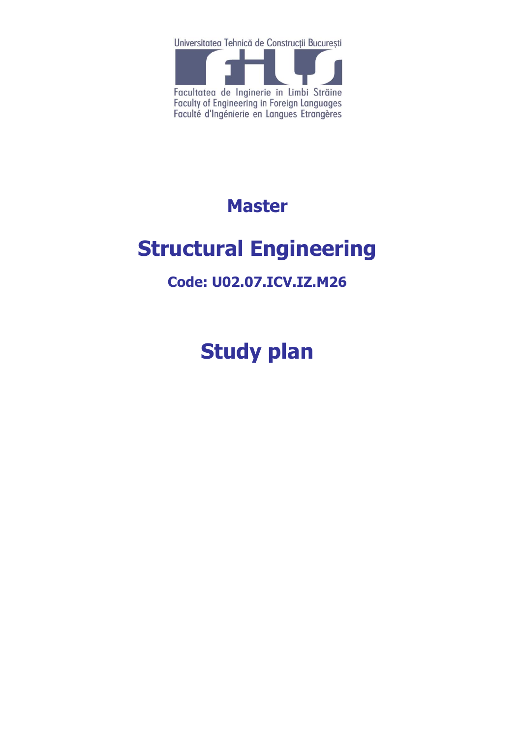Universitatea Tehnică de Construcții București



## **Master**

# **Structural Engineering**

### **Code: U02.07.ICV.IZ.M26**

**Study plan**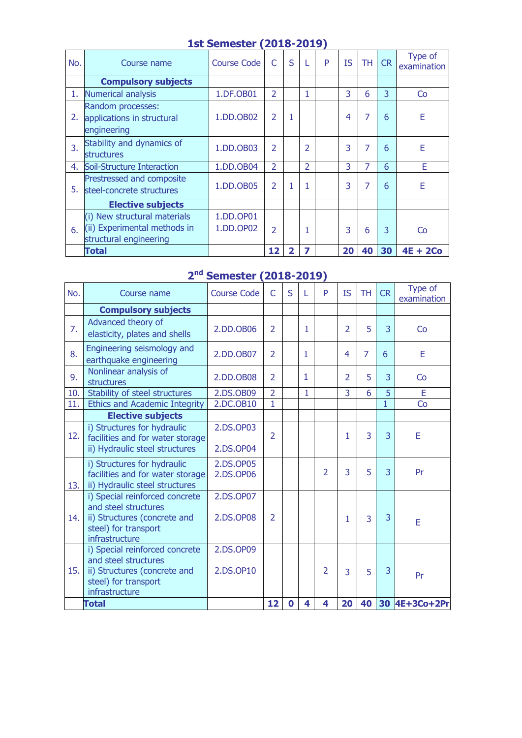| No. | Course name                                                                            | <b>Course Code</b>     | C                        | S |                          | P | <b>IS</b> | <b>TH</b> | <b>CR</b> | Type of<br>examination |
|-----|----------------------------------------------------------------------------------------|------------------------|--------------------------|---|--------------------------|---|-----------|-----------|-----------|------------------------|
|     | <b>Compulsory subjects</b>                                                             |                        |                          |   |                          |   |           |           |           |                        |
| 1.  | <b>Numerical analysis</b>                                                              | 1.DF.OB01              | $\overline{2}$           |   |                          |   | 3         | 6         | 3         | Co                     |
| 2.  | Random processes:<br>applications in structural<br>engineering                         | 1.DD.OB02              | $\overline{2}$           | 1 |                          |   | 4         | 7         | 6         | E                      |
| 3.  | Stability and dynamics of<br><b>structures</b>                                         | 1.DD.OB03              | $\overline{\phantom{a}}$ |   | $\overline{\mathcal{L}}$ |   | 3         | 7         | 6         | E                      |
| 4.  | Soil-Structure Interaction                                                             | 1.DD.OB04              | $\overline{2}$           |   | $\overline{2}$           |   | 3         | 7         | 6         | E                      |
| 5.  | Prestressed and composite<br>steel-concrete structures                                 | 1.DD.OB05              | $\overline{2}$           |   |                          |   | 3         | 7         | 6         | E                      |
|     | <b>Elective subjects</b>                                                               |                        |                          |   |                          |   |           |           |           |                        |
| 6.  | (i) New structural materials<br>(ii) Experimental methods in<br>structural engineering | 1.DD.OP01<br>1.DD.OP02 | $\overline{2}$           |   |                          |   | 3         | 6         | 3         | Co                     |
|     | Total                                                                                  |                        | 12                       | 2 | 7                        |   | 20        | 40        | 30        | $4E + 2Co$             |

#### **1st Semester (2018-2019)**

#### **2 nd Semester (2018-2019)**

| No. | Course name                                                                                                                      | <b>Course Code</b>     | $\overline{C}$ | S | L            | P              | <b>IS</b>     | <b>TH</b>      | <b>CR</b>      | Type of<br>examination |
|-----|----------------------------------------------------------------------------------------------------------------------------------|------------------------|----------------|---|--------------|----------------|---------------|----------------|----------------|------------------------|
|     | <b>Compulsory subjects</b>                                                                                                       |                        |                |   |              |                |               |                |                |                        |
| 7.  | Advanced theory of<br>elasticity, plates and shells                                                                              | 2.DD.OB06              | 2              |   | 1            |                | 2             | 5              | 3              | Co                     |
| 8.  | Engineering seismology and<br>earthquake engineering                                                                             | 2.DD.OB07              | $\overline{2}$ |   | 1            |                | 4             | $\overline{7}$ | 6              | E                      |
| 9.  | Nonlinear analysis of<br>structures                                                                                              | 2.DD.OB08              | $\overline{2}$ |   | 1            |                | $\mathcal{P}$ | 5              | 3              | <b>Co</b>              |
| 10. | Stability of steel structures                                                                                                    | 2.DS.OB09              | $\overline{2}$ |   | $\mathbf{1}$ |                | 3             | 6              | $\overline{5}$ | E                      |
| 11. | <b>Ethics and Academic Integrity</b>                                                                                             | 2.DC.OB10              | $\mathbf{1}$   |   |              |                |               |                | $\mathbf{1}$   | Co                     |
|     | <b>Elective subjects</b>                                                                                                         |                        |                |   |              |                |               |                |                |                        |
| 12. | i) Structures for hydraulic<br>facilities and for water storage<br>ii) Hydraulic steel structures                                | 2.DS.OP03<br>2.DS.OP04 | $\overline{2}$ |   |              |                | 1             | 3              | 3              | E                      |
| 13. | i) Structures for hydraulic<br>facilities and for water storage<br>ii) Hydraulic steel structures                                | 2.DS.OP05<br>2.DS.OP06 |                |   |              | $\overline{2}$ | 3             | 5              | 3              | Pr                     |
| 14. | i) Special reinforced concrete<br>and steel structures<br>ii) Structures (concrete and<br>steel) for transport<br>infrastructure | 2.DS.OP07<br>2.DS.OP08 | $\overline{2}$ |   |              |                | 1             | 3              | 3              | E                      |
| 15. | i) Special reinforced concrete<br>and steel structures<br>ii) Structures (concrete and<br>steel) for transport<br>infrastructure | 2.DS.OP09<br>2.DS.OP10 |                |   |              | $\overline{2}$ | 3             | 5              | 3              | Pr                     |
|     | <b>Total</b>                                                                                                                     |                        | 12             | 0 | 4            | 4              | 20            | 40             |                | 30 4E+3Co+2Pr          |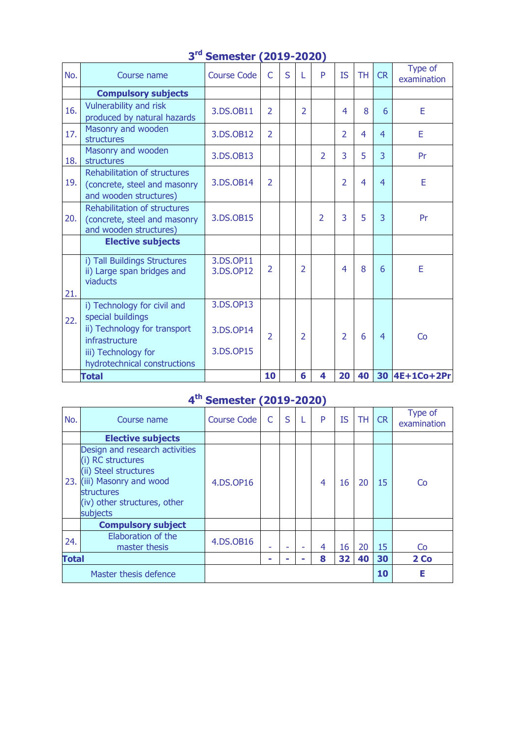| No. | Course name                                                                                   | <b>Course Code</b>     | $\mathsf{C}$   | S | L              | P                        | <b>IS</b>      | <b>TH</b> | <b>CR</b>      | Type of<br>examination |
|-----|-----------------------------------------------------------------------------------------------|------------------------|----------------|---|----------------|--------------------------|----------------|-----------|----------------|------------------------|
|     | <b>Compulsory subjects</b>                                                                    |                        |                |   |                |                          |                |           |                |                        |
| 16. | Vulnerability and risk<br>produced by natural hazards                                         | 3.DS.OB11              | $\mathcal{P}$  |   | $\overline{2}$ |                          | 4              | 8         | 6              | E                      |
| 17. | Masonry and wooden<br>structures                                                              | 3.DS.OB12              | $\overline{2}$ |   |                |                          | $\overline{2}$ | 4         | 4              | E                      |
| 18. | Masonry and wooden<br>structures                                                              | 3.DS.OB13              |                |   |                | $\overline{2}$           | 3              | 5         | $\overline{3}$ | Pr                     |
| 19. | <b>Rehabilitation of structures</b><br>(concrete, steel and masonry<br>and wooden structures) | 3.DS.OB14              | $\overline{2}$ |   |                |                          | $\overline{2}$ | 4         | $\overline{4}$ | E                      |
| 20. | <b>Rehabilitation of structures</b><br>(concrete, steel and masonry<br>and wooden structures) | 3.DS.OB15              |                |   |                | $\overline{\phantom{a}}$ | 3              | 5         | $\overline{3}$ | Pr                     |
|     | <b>Elective subjects</b>                                                                      |                        |                |   |                |                          |                |           |                |                        |
| 21. | i) Tall Buildings Structures<br>ii) Large span bridges and<br>viaducts                        | 3.DS.OP11<br>3.DS.OP12 | $\mathcal{P}$  |   | $\overline{2}$ |                          | 4              | 8         | 6              | E                      |
| 22. | i) Technology for civil and<br>special buildings                                              | 3.DS.OP13              |                |   |                |                          |                |           |                |                        |
|     | ii) Technology for transport<br>infrastructure                                                | 3.DS.OP14              | $\overline{2}$ |   | $\overline{2}$ |                          | $\overline{2}$ | 6         | 4              | Co                     |
|     | iii) Technology for<br>hydrotechnical constructions                                           | 3.DS.OP15              |                |   |                |                          |                |           |                |                        |
|     | <b>Total</b>                                                                                  |                        | 10             |   | 6              | 4                        | 20             | 40        |                | 30 4E+1Co+2Pr          |

#### **3 rd Semester (2019-2020)**

#### **4 th Semester (2019-2020)**

| No.                   | Course name                                                                                                                                                                 | <b>Course Code</b> | C | S |   | P | <b>IS</b> | <b>TH</b> | <b>CR</b> | Type of<br>examination |
|-----------------------|-----------------------------------------------------------------------------------------------------------------------------------------------------------------------------|--------------------|---|---|---|---|-----------|-----------|-----------|------------------------|
|                       | <b>Elective subjects</b>                                                                                                                                                    |                    |   |   |   |   |           |           |           |                        |
|                       | Design and research activities<br>(i) RC structures<br>(ii) Steel structures<br>23. (iii) Masonry and wood<br><b>structures</b><br>(iv) other structures, other<br>subjects | 4.DS.OP16          |   |   |   | 4 | 16        | 20        | 15        | Co                     |
|                       | <b>Compulsory subject</b>                                                                                                                                                   |                    |   |   |   |   |           |           |           |                        |
| 24.                   | Elaboration of the<br>master thesis                                                                                                                                         | 4.DS.OB16          |   |   | ۰ | 4 | 16        | 20        | 15        | Co                     |
| <b>Total</b>          |                                                                                                                                                                             |                    |   |   | - | 8 | 32        | 40        | 30        | 2 Co                   |
| Master thesis defence |                                                                                                                                                                             |                    |   |   |   |   |           |           | 10        | Е                      |